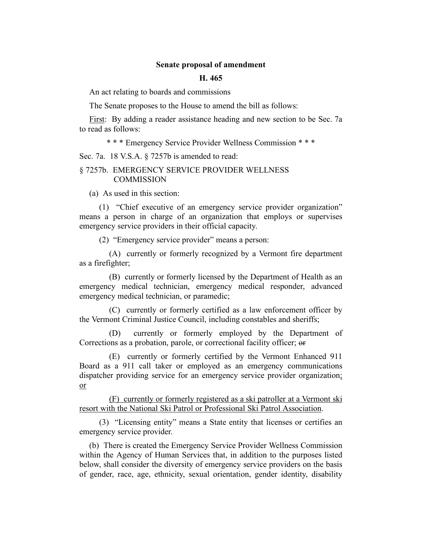## **Senate proposal of amendment**

## **H. 465**

An act relating to boards and commissions

The Senate proposes to the House to amend the bill as follows:

First: By adding a reader assistance heading and new section to be Sec. 7a to read as follows:

\* \* \* Emergency Service Provider Wellness Commission \* \* \*

Sec. 7a. 18 V.S.A. § 7257b is amended to read:

## § 7257b. EMERGENCY SERVICE PROVIDER WELLNESS **COMMISSION**

(a) As used in this section:

(1) "Chief executive of an emergency service provider organization" means a person in charge of an organization that employs or supervises emergency service providers in their official capacity.

(2) "Emergency service provider" means a person:

(A) currently or formerly recognized by a Vermont fire department as a firefighter;

(B) currently or formerly licensed by the Department of Health as an emergency medical technician, emergency medical responder, advanced emergency medical technician, or paramedic;

(C) currently or formerly certified as a law enforcement officer by the Vermont Criminal Justice Council, including constables and sheriffs;

(D) currently or formerly employed by the Department of Corrections as a probation, parole, or correctional facility officer; or

(E) currently or formerly certified by the Vermont Enhanced 911 Board as a 911 call taker or employed as an emergency communications dispatcher providing service for an emergency service provider organization; or

(F) currently or formerly registered as a ski patroller at a Vermont ski resort with the National Ski Patrol or Professional Ski Patrol Association.

(3) "Licensing entity" means a State entity that licenses or certifies an emergency service provider.

(b) There is created the Emergency Service Provider Wellness Commission within the Agency of Human Services that, in addition to the purposes listed below, shall consider the diversity of emergency service providers on the basis of gender, race, age, ethnicity, sexual orientation, gender identity, disability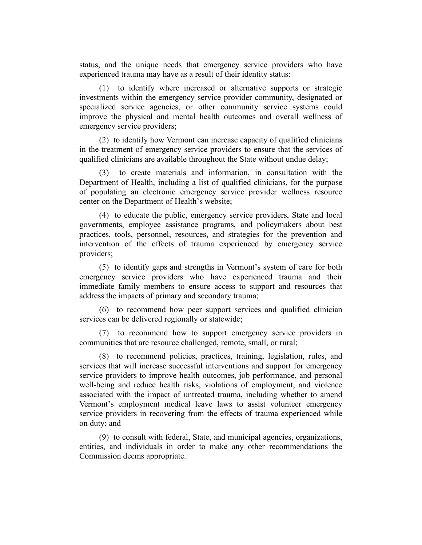status, and the unique needs that emergency service providers who have experienced trauma may have as a result of their identity status:

(1) to identify where increased or alternative supports or strategic investments within the emergency service provider community, designated or specialized service agencies, or other community service systems could improve the physical and mental health outcomes and overall wellness of emergency service providers;

(2) to identify how Vermont can increase capacity of qualified clinicians in the treatment of emergency service providers to ensure that the services of qualified clinicians are available throughout the State without undue delay;

(3) to create materials and information, in consultation with the Department of Health, including a list of qualified clinicians, for the purpose of populating an electronic emergency service provider wellness resource center on the Department of Health's website;

(4) to educate the public, emergency service providers, State and local governments, employee assistance programs, and policymakers about best practices, tools, personnel, resources, and strategies for the prevention and intervention of the effects of trauma experienced by emergency service providers;

(5) to identify gaps and strengths in Vermont's system of care for both emergency service providers who have experienced trauma and their immediate family members to ensure access to support and resources that address the impacts of primary and secondary trauma;

(6) to recommend how peer support services and qualified clinician services can be delivered regionally or statewide;

(7) to recommend how to support emergency service providers in communities that are resource challenged, remote, small, or rural;

(8) to recommend policies, practices, training, legislation, rules, and services that will increase successful interventions and support for emergency service providers to improve health outcomes, job performance, and personal well-being and reduce health risks, violations of employment, and violence associated with the impact of untreated trauma, including whether to amend Vermont's employment medical leave laws to assist volunteer emergency service providers in recovering from the effects of trauma experienced while on duty; and

(9) to consult with federal, State, and municipal agencies, organizations, entities, and individuals in order to make any other recommendations the Commission deems appropriate.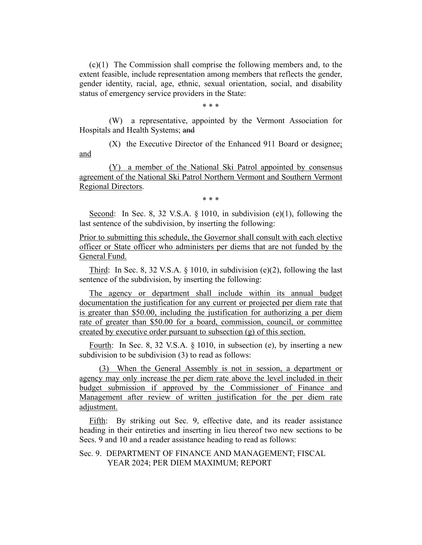(c)(1) The Commission shall comprise the following members and, to the extent feasible, include representation among members that reflects the gender, gender identity, racial, age, ethnic, sexual orientation, social, and disability status of emergency service providers in the State:

\* \* \*

(W) a representative, appointed by the Vermont Association for Hospitals and Health Systems; and

(X) the Executive Director of the Enhanced 911 Board or designee; and

(Y) a member of the National Ski Patrol appointed by consensus agreement of the National Ski Patrol Northern Vermont and Southern Vermont Regional Directors.

\* \* \*

Second: In Sec. 8, 32 V.S.A. § 1010, in subdivision (e)(1), following the last sentence of the subdivision, by inserting the following:

Prior to submitting this schedule, the Governor shall consult with each elective officer or State officer who administers per diems that are not funded by the General Fund.

Third: In Sec. 8, 32 V.S.A. § 1010, in subdivision (e)(2), following the last sentence of the subdivision, by inserting the following:

The agency or department shall include within its annual budget documentation the justification for any current or projected per diem rate that is greater than \$50.00, including the justification for authorizing a per diem rate of greater than \$50.00 for a board, commission, council, or committee created by executive order pursuant to subsection (g) of this section.

Fourth: In Sec. 8, 32 V.S.A. § 1010, in subsection (e), by inserting a new subdivision to be subdivision (3) to read as follows:

(3) When the General Assembly is not in session, a department or agency may only increase the per diem rate above the level included in their budget submission if approved by the Commissioner of Finance and Management after review of written justification for the per diem rate adjustment.

Fifth: By striking out Sec. 9, effective date, and its reader assistance heading in their entireties and inserting in lieu thereof two new sections to be Secs. 9 and 10 and a reader assistance heading to read as follows:

Sec. 9. DEPARTMENT OF FINANCE AND MANAGEMENT; FISCAL YEAR 2024; PER DIEM MAXIMUM; REPORT